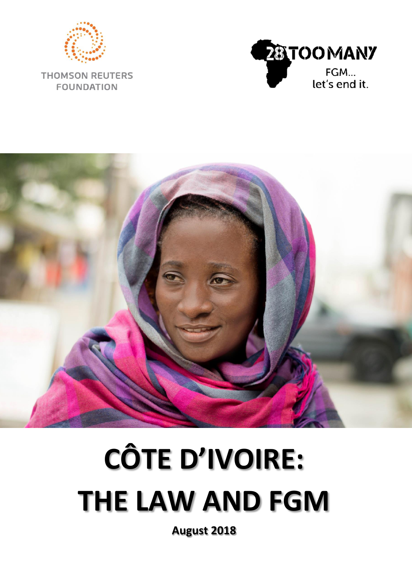

**THOMSON REUTERS FOUNDATION** 





# **CÔTE D'IVOIRE: THE LAW AND FGM**

**August 2018**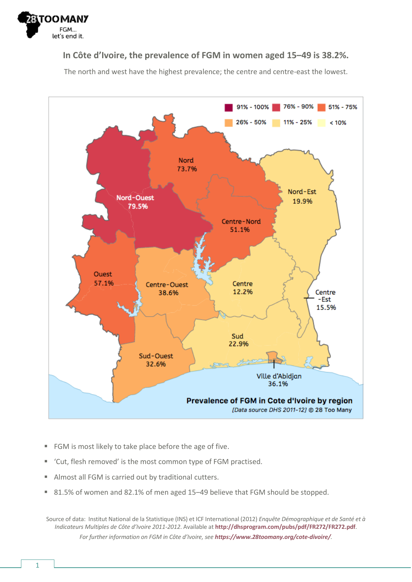

#### **In Côte d'Ivoire, the prevalence of FGM in women aged 15–49 is 38.2%.**

The north and west have the highest prevalence; the centre and centre-east the lowest.



- FGM is most likely to take place before the age of five.
- 'Cut, flesh removed' is the most common type of FGM practised.
- Almost all FGM is carried out by traditional cutters.
- 81.5% of women and 82.1% of men aged 15–49 believe that FGM should be stopped.

Source of data: Institut National de la Statistique (INS) et ICF International (2012) *Enquête Démographique et de Santé et à Indicateurs Multiples de Côte d'Ivoire 2011-2012*. Available at **<http://dhsprogram.com/pubs/pdf/FR272/FR272.pdf>**. *For further information on FGM in Côte d'Ivoire, see [https://www.28toomany.org/cote-divoire/](https://www.28toomany.org/country/cote-divoire/).*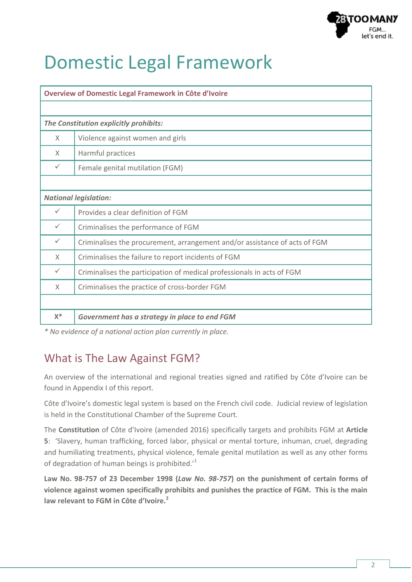

# Domestic Legal Framework

| <b>Overview of Domestic Legal Framework in Côte d'Ivoire</b> |                                                                            |  |  |  |  |
|--------------------------------------------------------------|----------------------------------------------------------------------------|--|--|--|--|
|                                                              |                                                                            |  |  |  |  |
| The Constitution explicitly prohibits:                       |                                                                            |  |  |  |  |
| $\times$                                                     | Violence against women and girls                                           |  |  |  |  |
| $\times$                                                     | Harmful practices                                                          |  |  |  |  |
| $\checkmark$                                                 | Female genital mutilation (FGM)                                            |  |  |  |  |
|                                                              |                                                                            |  |  |  |  |
| <b>National legislation:</b>                                 |                                                                            |  |  |  |  |
| ✓                                                            | Provides a clear definition of FGM                                         |  |  |  |  |
| $\checkmark$                                                 | Criminalises the performance of FGM                                        |  |  |  |  |
| $\checkmark$                                                 | Criminalises the procurement, arrangement and/or assistance of acts of FGM |  |  |  |  |
| $\times$                                                     | Criminalises the failure to report incidents of FGM                        |  |  |  |  |
| $\checkmark$                                                 | Criminalises the participation of medical professionals in acts of FGM     |  |  |  |  |
| $\times$                                                     | Criminalises the practice of cross-border FGM                              |  |  |  |  |
|                                                              |                                                                            |  |  |  |  |
| $X^*$                                                        | Government has a strategy in place to end FGM                              |  |  |  |  |

*\* No evidence of a national action plan currently in place.*

# What is The Law Against FGM?

An overview of the international and regional treaties signed and ratified by Côte d'Ivoire can be found in Appendix I of this report.

Côte d'Ivoire's domestic legal system is based on the French civil code. Judicial review of legislation is held in the Constitutional Chamber of the Supreme Court.

The **Constitution** of Côte d'Ivoire (amended 2016) specifically targets and prohibits FGM at **Article 5**: 'Slavery, human trafficking, forced labor, physical or mental torture, inhuman, cruel, degrading and humiliating treatments, physical violence, female genital mutilation as well as any other forms of degradation of human beings is prohibited. $11$ 

**Law No. 98-757 of 23 December 1998 (***Law No. 98-757***) on the punishment of certain forms of violence against women specifically prohibits and punishes the practice of FGM. This is the main law relevant to FGM in Côte d'Ivoire.<sup>2</sup>**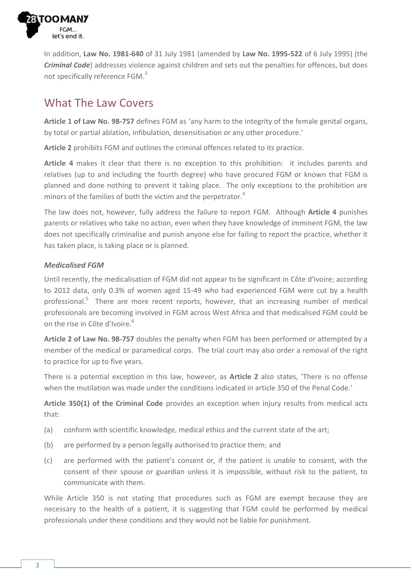

In addition, **Law No. 1981-640** of 31 July 1981 (amended by **Law No. 1995-522** of 6 July 1995) (the *Criminal Code*) addresses violence against children and sets out the penalties for offences, but does not specifically reference FGM.<sup>3</sup>

# What The Law Covers

**Article 1 of Law No. 98-757** defines FGM as 'any harm to the integrity of the female genital organs, by total or partial ablation, infibulation, desensitisation or any other procedure.'

**Article 2** prohibits FGM and outlines the criminal offences related to its practice.

**Article 4** makes it clear that there is no exception to this prohibition: it includes parents and relatives (up to and including the fourth degree) who have procured FGM or known that FGM is planned and done nothing to prevent it taking place. The only exceptions to the prohibition are minors of the families of both the victim and the perpetrator.<sup>4</sup>

The law does not, however, fully address the failure to report FGM. Although **Article 4** punishes parents or relatives who take no action, even when they have knowledge of imminent FGM, the law does not specifically criminalise and punish anyone else for failing to report the practice, whether it has taken place, is taking place or is planned.

#### *Medicalised FGM*

Until recently, the medicalisation of FGM did not appear to be significant in Côte d'Ivoire; according to 2012 data, only 0.3% of women aged 15-49 who had experienced FGM were cut by a health professional.<sup>5</sup> There are more recent reports, however, that an increasing number of medical professionals are becoming involved in FGM across West Africa and that medicalised FGM could be on the rise in Côte d'Ivoire.<sup>6</sup>

**Article 2 of Law No. 98-757** doubles the penalty when FGM has been performed or attempted by a member of the medical or paramedical corps. The trial court may also order a removal of the right to practice for up to five years.

There is a potential exception in this law, however, as **Article 2** also states, 'There is no offense when the mutilation was made under the conditions indicated in article 350 of the Penal Code.'

**Article 350(1) of the Criminal Code** provides an exception when injury results from medical acts that:

- (a) conform with scientific knowledge, medical ethics and the current state of the art;
- (b) are performed by a person legally authorised to practice them; and
- (c) are performed with the patient's consent or, if the patient is unable to consent, with the consent of their spouse or guardian unless it is impossible, without risk to the patient, to communicate with them.

While Article 350 is not stating that procedures such as FGM are exempt because they are necessary to the health of a patient, it is suggesting that FGM could be performed by medical professionals under these conditions and they would not be liable for punishment.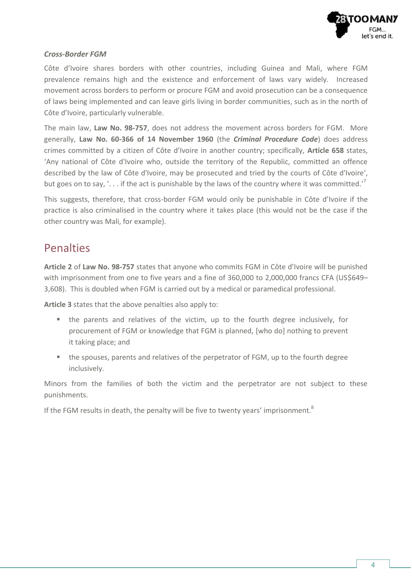

#### *Cross-Border FGM*

Côte d'Ivoire shares borders with other countries, including Guinea and Mali, where FGM prevalence remains high and the existence and enforcement of laws vary widely. Increased movement across borders to perform or procure FGM and avoid prosecution can be a consequence of laws being implemented and can leave girls living in border communities, such as in the north of Côte d'Ivoire, particularly vulnerable.

The main law, **Law No. 98-757**, does not address the movement across borders for FGM. More generally, **Law No. 60-366 of 14 November 1960** (the *Criminal Procedure Code*) does address crimes committed by a citizen of Côte d'Ivoire in another country; specifically, **Article 658** states, 'Any national of Côte d'Ivoire who, outside the territory of the Republic, committed an offence described by the law of Côte d'Ivoire, may be prosecuted and tried by the courts of Côte d'Ivoire', but goes on to say, '. . . if the act is punishable by the laws of the country where it was committed.'<sup>7</sup>

This suggests, therefore, that cross-border FGM would only be punishable in Côte d'Ivoire if the practice is also criminalised in the country where it takes place (this would not be the case if the other country was Mali, for example).

### **Penalties**

**Article 2** of **Law No. 98-757** states that anyone who commits FGM in Côte d'Ivoire will be punished with imprisonment from one to five years and a fine of 360,000 to 2,000,000 francs CFA (US\$649-3,608). This is doubled when FGM is carried out by a medical or paramedical professional.

**Article 3** states that the above penalties also apply to:

- the parents and relatives of the victim, up to the fourth degree inclusively, for procurement of FGM or knowledge that FGM is planned, [who do] nothing to prevent it taking place; and
- the spouses, parents and relatives of the perpetrator of FGM, up to the fourth degree inclusively.

Minors from the families of both the victim and the perpetrator are not subject to these punishments.

If the FGM results in death, the penalty will be five to twenty years' imprisonment. $8$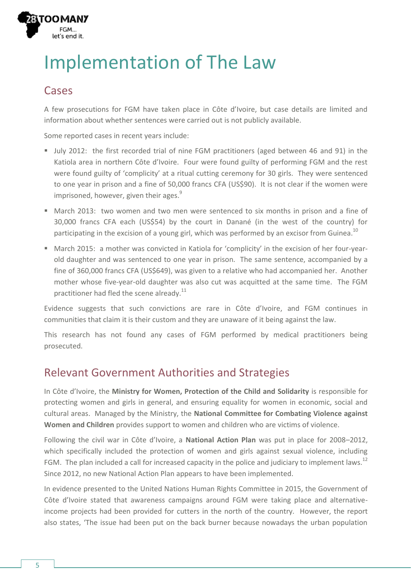# Implementation of The Law

#### **Cases**

**TOOMAI** 

let's end it.

A few prosecutions for FGM have taken place in Côte d'Ivoire, but case details are limited and information about whether sentences were carried out is not publicly available.

Some reported cases in recent years include:

- July 2012: the first recorded trial of nine FGM practitioners (aged between 46 and 91) in the Katiola area in northern Côte d'Ivoire. Four were found guilty of performing FGM and the rest were found guilty of 'complicity' at a ritual cutting ceremony for 30 girls. They were sentenced to one year in prison and a fine of 50,000 francs CFA (US\$90). It is not clear if the women were imprisoned, however, given their ages.<sup>9</sup>
- March 2013: two women and two men were sentenced to six months in prison and a fine of 30,000 francs CFA each (US\$54) by the court in Danané (in the west of the country) for participating in the excision of a young girl, which was performed by an excisor from Guinea.<sup>10</sup>
- March 2015: a mother was convicted in Katiola for 'complicity' in the excision of her four-yearold daughter and was sentenced to one year in prison. The same sentence, accompanied by a fine of 360,000 francs CFA (US\$649), was given to a relative who had accompanied her. Another mother whose five-year-old daughter was also cut was acquitted at the same time. The FGM practitioner had fled the scene already.<sup>11</sup>

Evidence suggests that such convictions are rare in Côte d'Ivoire, and FGM continues in communities that claim it is their custom and they are unaware of it being against the law.

This research has not found any cases of FGM performed by medical practitioners being prosecuted.

# Relevant Government Authorities and Strategies

In Côte d'Ivoire, the **Ministry for Women, Protection of the Child and Solidarity** is responsible for protecting women and girls in general, and ensuring equality for women in economic, social and cultural areas. Managed by the Ministry, the **National Committee for Combating Violence against Women and Children** provides support to women and children who are victims of violence.

Following the civil war in Côte d'Ivoire, a **National Action Plan** was put in place for 2008–2012, which specifically included the protection of women and girls against sexual violence, including FGM. The plan included a call for increased capacity in the police and judiciary to implement laws.<sup>12</sup> Since 2012, no new National Action Plan appears to have been implemented.

In evidence presented to the United Nations Human Rights Committee in 2015, the Government of Côte d'Ivoire stated that awareness campaigns around FGM were taking place and alternativeincome projects had been provided for cutters in the north of the country. However, the report also states, 'The issue had been put on the back burner because nowadays the urban population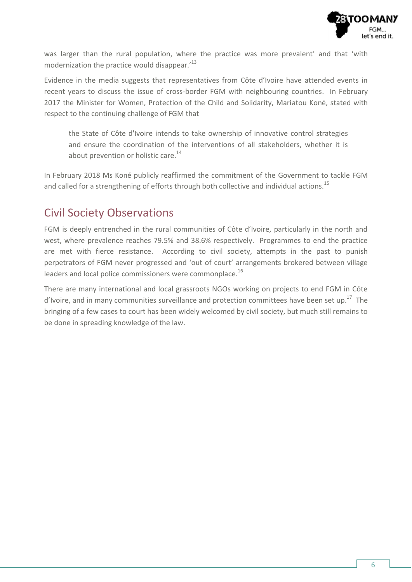

was larger than the rural population, where the practice was more prevalent' and that 'with modernization the practice would disappear.<sup>13</sup>

Evidence in the media suggests that representatives from Côte d'Ivoire have attended events in recent years to discuss the issue of cross-border FGM with neighbouring countries. In February 2017 the Minister for Women, Protection of the Child and Solidarity, Mariatou Koné, stated with respect to the continuing challenge of FGM that

the State of Côte d'Ivoire intends to take ownership of innovative control strategies and ensure the coordination of the interventions of all stakeholders, whether it is about prevention or holistic care.<sup>14</sup>

In February 2018 Ms Koné publicly reaffirmed the commitment of the Government to tackle FGM and called for a strengthening of efforts through both collective and individual actions.<sup>15</sup>

### Civil Society Observations

FGM is deeply entrenched in the rural communities of Côte d'Ivoire, particularly in the north and west, where prevalence reaches 79.5% and 38.6% respectively. Programmes to end the practice are met with fierce resistance. According to civil society, attempts in the past to punish perpetrators of FGM never progressed and 'out of court' arrangements brokered between village leaders and local police commissioners were commonplace.<sup>16</sup>

There are many international and local grassroots NGOs working on projects to end FGM in Côte d'Ivoire, and in many communities surveillance and protection committees have been set up.<sup>17</sup> The bringing of a few cases to court has been widely welcomed by civil society, but much still remains to be done in spreading knowledge of the law.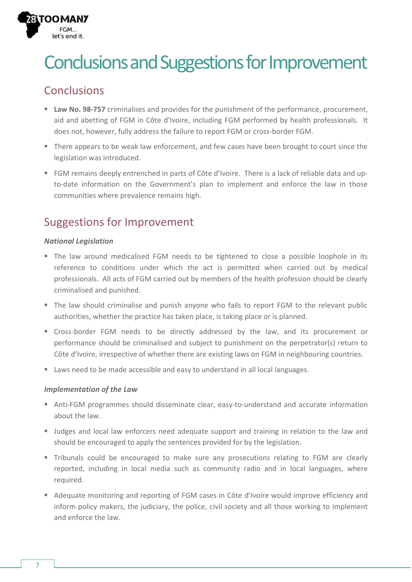# Conclusions and Suggestions for Improvement

# Conclusions

TOOMAI

let's end it.

- **Law No. 98-757** criminalises and provides for the punishment of the performance, procurement, aid and abetting of FGM in Côte d'Ivoire, including FGM performed by health professionals. It does not, however, fully address the failure to report FGM or cross-border FGM.
- There appears to be weak law enforcement, and few cases have been brought to court since the legislation was introduced.
- FGM remains deeply entrenched in parts of Côte d'Ivoire. There is a lack of reliable data and upto-date information on the Government's plan to implement and enforce the law in those communities where prevalence remains high.

# Suggestions for Improvement

#### *National Legislation*

- The law around medicalised FGM needs to be tightened to close a possible loophole in its reference to conditions under which the act is permitted when carried out by medical professionals. All acts of FGM carried out by members of the health profession should be clearly criminalised and punished.
- The law should criminalise and punish anyone who fails to report FGM to the relevant public authorities, whether the practice has taken place, is taking place or is planned.
- Cross-border FGM needs to be directly addressed by the law, and its procurement or performance should be criminalised and subject to punishment on the perpetrator(s) return to Côte d'Ivoire, irrespective of whether there are existing laws on FGM in neighbouring countries.
- **Laws need to be made accessible and easy to understand in all local languages.**

#### *Implementation of the Law*

- Anti-FGM programmes should disseminate clear, easy-to-understand and accurate information about the law.
- **Judges and local law enforcers need adequate support and training in relation to the law and** should be encouraged to apply the sentences provided for by the legislation.
- Tribunals could be encouraged to make sure any prosecutions relating to FGM are clearly reported, including in local media such as community radio and in local languages, where required.
- Adequate monitoring and reporting of FGM cases in Côte d'Ivoire would improve efficiency and inform policy makers, the judiciary, the police, civil society and all those working to implement and enforce the law.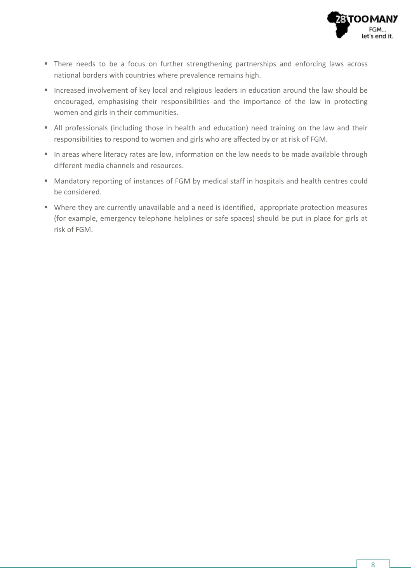

- **There needs to be a focus on further strengthening partnerships and enforcing laws across** national borders with countries where prevalence remains high.
- Increased involvement of key local and religious leaders in education around the law should be encouraged, emphasising their responsibilities and the importance of the law in protecting women and girls in their communities.
- All professionals (including those in health and education) need training on the law and their responsibilities to respond to women and girls who are affected by or at risk of FGM.
- In areas where literacy rates are low, information on the law needs to be made available through different media channels and resources.
- Mandatory reporting of instances of FGM by medical staff in hospitals and health centres could be considered.
- Where they are currently unavailable and a need is identified, appropriate protection measures (for example, emergency telephone helplines or safe spaces) should be put in place for girls at risk of FGM.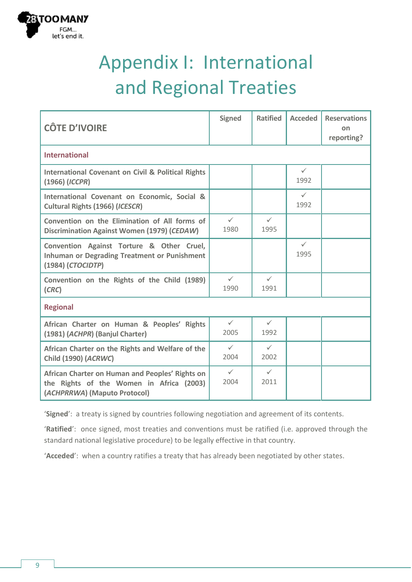

# Appendix I: International and Regional Treaties

| <b>CÔTE D'IVOIRE</b>                                                                                                        | <b>Signed</b>        | <b>Ratified</b>      | <b>Acceded</b>       | <b>Reservations</b><br>on<br>reporting? |  |
|-----------------------------------------------------------------------------------------------------------------------------|----------------------|----------------------|----------------------|-----------------------------------------|--|
| <b>International</b>                                                                                                        |                      |                      |                      |                                         |  |
| <b>International Covenant on Civil &amp; Political Rights</b><br>(1966) (ICCPR)                                             |                      |                      | $\checkmark$<br>1992 |                                         |  |
| International Covenant on Economic, Social &<br>Cultural Rights (1966) (ICESCR)                                             |                      |                      | $\checkmark$<br>1992 |                                         |  |
| Convention on the Elimination of All forms of<br>Discrimination Against Women (1979) (CEDAW)                                | $\checkmark$<br>1980 | $\checkmark$<br>1995 |                      |                                         |  |
| Convention Against Torture & Other Cruel,<br><b>Inhuman or Degrading Treatment or Punishment</b><br>(1984) (CTOCIDTP)       |                      |                      | $\checkmark$<br>1995 |                                         |  |
| Convention on the Rights of the Child (1989)<br>(CRC)                                                                       | $\checkmark$<br>1990 | $\checkmark$<br>1991 |                      |                                         |  |
| <b>Regional</b>                                                                                                             |                      |                      |                      |                                         |  |
| African Charter on Human & Peoples' Rights<br>(1981) (ACHPR) (Banjul Charter)                                               | $\checkmark$<br>2005 | $\checkmark$<br>1992 |                      |                                         |  |
| African Charter on the Rights and Welfare of the<br>Child (1990) (ACRWC)                                                    | $\checkmark$<br>2004 | $\checkmark$<br>2002 |                      |                                         |  |
| African Charter on Human and Peoples' Rights on<br>the Rights of the Women in Africa (2003)<br>(ACHPRRWA) (Maputo Protocol) | $\checkmark$<br>2004 | $\checkmark$<br>2011 |                      |                                         |  |

'**Signed**': a treaty is signed by countries following negotiation and agreement of its contents.

'**Ratified**': once signed, most treaties and conventions must be ratified (i.e. approved through the standard national legislative procedure) to be legally effective in that country.

'**Acceded**': when a country ratifies a treaty that has already been negotiated by other states.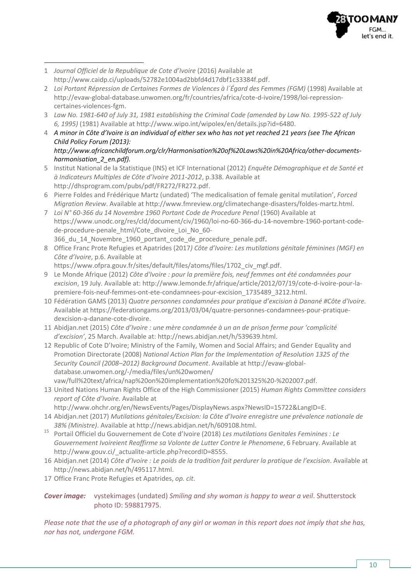

- $\overline{a}$ 1 *Journal Officiel de la Republique de Cote d'Ivoire* (2016) Available at [http://www.caidp.ci/uploads/52782e1004ad2bbfd4d17dbf1c33384f.pdf.](http://www.caidp.ci/uploads/52782e1004ad2bbfd4d17dbf1c33384f.pdf)
- 2 *Loi Portant Répression de Certaines Formes de Violences à l'Égard des Femmes (FGM)* (1998) Available at [http://evaw-global-database.unwomen.org/fr/countries/africa/cote-d-ivoire/1998/loi-repression](http://evaw-global-database.unwomen.org/fr/countries/africa/cote-d-ivoire/1998/loi-repression-certaines-violences-fgm)[certaines-violences-fgm.](http://evaw-global-database.unwomen.org/fr/countries/africa/cote-d-ivoire/1998/loi-repression-certaines-violences-fgm)
- 3 *Law No. 1981-640 of July 31, 1981 establishing the Criminal Code (amended by Law No. 1995-522 of July 6, 1995)* (1981) Available a[t http://www.wipo.int/wipolex/en/details.jsp?id=6480.](http://www.wipo.int/wipolex/en/details.jsp?id=6480)
- 4 *A minor in Côte d'Ivoire is an individual of either sex who has not yet reached 21 years (see The African Child Policy Forum (2013):* 
	- *[http://www.africanchildforum.org/clr/Harmonisation%20of%20Laws%20in%20Africa/other-documents](http://www.africanchildforum.org/clr/Harmonisation%20of%20Laws%20in%20Africa/other-documents-harmonisation_2_en.pdf)[harmonisation\\_2\\_en.pdf\)](http://www.africanchildforum.org/clr/Harmonisation%20of%20Laws%20in%20Africa/other-documents-harmonisation_2_en.pdf).*
- 5 Institut National de la Statistique (INS) et ICF International (2012) *Enquête Démographique et de Santé et à Indicateurs Multiples de Côte d'Ivoire 2011-2012*, p.338. Available at [http://dhsprogram.com/pubs/pdf/FR272/FR272.pdf.](http://dhsprogram.com/pubs/pdf/FR272/FR272.pdf)
- 6 Pierre Foldes and Frédérique Martz (undated) 'The medicalisation of female genital mutilation', *Forced Migration Review*. Available a[t http://www.fmreview.org/climatechange-disasters/foldes-martz.html.](http://www.fmreview.org/climatechange-disasters/foldes-martz.html)
- 7 *Loi N° 60-366 du 14 Novembre 1960 Portant Code de Procedure Penal* (1960) Available at [https://www.unodc.org/res/cld/document/civ/1960/loi-no-60-366-du-14-novembre-1960-portant-code](https://www.unodc.org/res/cld/document/civ/1960/loi-no-60-366-du-14-novembre-1960-portant-code-de-procedure-penale_html/Cote_dIvoire_Loi_No_60-366_du_14_Novembre_1960_portant_code_de_procedure_penale.pdf)[de-procedure-penale\\_html/Cote\\_dIvoire\\_Loi\\_No\\_60-](https://www.unodc.org/res/cld/document/civ/1960/loi-no-60-366-du-14-novembre-1960-portant-code-de-procedure-penale_html/Cote_dIvoire_Loi_No_60-366_du_14_Novembre_1960_portant_code_de_procedure_penale.pdf) 366 du 14 Novembre 1960 portant code de procedure penale.pdf.
- 8 Office Franc Prote Refugies et Apatrides (2017*) Côte d'Ivoire: Les mutilations génitale féminines (MGF) en Côte d'Ivoire*, p.6. Available at

https://www.ofpra.gouv.fr/sites/default/files/atoms/files/1702 civ\_mgf.pdf.

- 9 Le Monde Afrique (2012) *Côte d'Ivoire : pour la première fois, neuf femmes ont été condamnées pour excision*, 19 July. Available at[: http://www.lemonde.fr/afrique/article/2012/07/19/cote-d-ivoire-pour-la](http://www.lemonde.fr/afrique/article/2012/07/19/cote-d-ivoire-pour-la-premiere-fois-neuf-femmes-ont-ete-condamnees-pour-excision_1735489_3212.html)[premiere-fois-neuf-femmes-ont-ete-condamnees-pour-excision\\_1735489\\_3212.html.](http://www.lemonde.fr/afrique/article/2012/07/19/cote-d-ivoire-pour-la-premiere-fois-neuf-femmes-ont-ete-condamnees-pour-excision_1735489_3212.html)
- 10 Fédération GAMS (2013) *Quatre personnes condamnées pour pratique d'excision à Danané #Côte d'Ivoire.* Available at [https://federationgams.org/2013/03/04/quatre-personnes-condamnees-pour-pratique](https://federationgams.org/2013/03/04/quatre-personnes-condamnees-pour-pratique-dexcision-a-danane-cote-divoire)[dexcision-a-danane-cote-divoire.](https://federationgams.org/2013/03/04/quatre-personnes-condamnees-pour-pratique-dexcision-a-danane-cote-divoire)
- 11 Abidjan.net (2015) *Côte d'Ivoire : une mère condamnée à un an de prison ferme pour 'complicité d'excision'*, 25 March. Available at: [http://news.abidjan.net/h/539639.html.](http://news.abidjan.net/h/539639.html)
- 12 Republic of Cote D'Ivoire; Ministry of the Family, Women and Social Affairs; and Gender Equality and Promotion Directorate (2008) *National Action Plan for the Implementation of Resolution 1325 of the Security Council (2008–2012) Background Document*. Available at [http://evaw-global](http://evaw-global-database.unwomen.org/-/media/files/un%20women/vaw/full%20text/africa/nap%20on%20implementation%20fo%201325%20-%202007.pdf)[database.unwomen.org/-/media/files/un%20women/](http://evaw-global-database.unwomen.org/-/media/files/un%20women/vaw/full%20text/africa/nap%20on%20implementation%20fo%201325%20-%202007.pdf) [vaw/full%20text/africa/nap%20on%20implementation%20fo%201325%20-%202007.pdf.](http://evaw-global-database.unwomen.org/-/media/files/un%20women/vaw/full%20text/africa/nap%20on%20implementation%20fo%201325%20-%202007.pdf)
- 13 United Nations Human Rights Office of the High Commissioner (2015) *Human Rights Committee considers report of Côte d'Ivoire.* Available at [http://www.ohchr.org/en/NewsEvents/Pages/DisplayNews.aspx?NewsID=15722&LangID=E.](http://www.ohchr.org/en/NewsEvents/Pages/DisplayNews.aspx?NewsID=15722&LangID=E)
- 14 Abidjan.net (2017) *Mutilations génitales/Excision: la Côte d'Ivoire enregistre une prévalence nationale de 38% (Ministre)*. Available a[t http://news.abidjan.net/h/609108.html.](http://news.abidjan.net/h/609108.html)
- <sup>15</sup> Portail Officiel du Gouvernement de Cote d'Ivoire (2018) *Les mutilations Genitales Feminines : Le Gouvernement Ivoireient Reaffirme sa Volonte de Lutter Contre le Phenomene*, 6 February. Available at [http://www.gouv.ci/\\_actualite-article.php?recordID=8555.](http://www.gouv.ci/_actualite-article.php?recordID=8555)
- 16 Abidjan.net (2014) *Côte d'Ivoire : Le poids de la tradition fait perdurer la pratique de l'excision*. Available at [http://news.abidjan.net/h/495117.html.](http://news.abidjan.net/h/495117.html)
- 17 Office Franc Prote Refugies et Apatrides, *op. cit*.

*Cover image:* vystekimages (undated) *Smiling and shy woman is happy to wear a veil*. Shutterstock photo ID: 598817975.

*Please note that the use of a photograph of any girl or woman in this report does not imply that she has, nor has not, undergone FGM.*